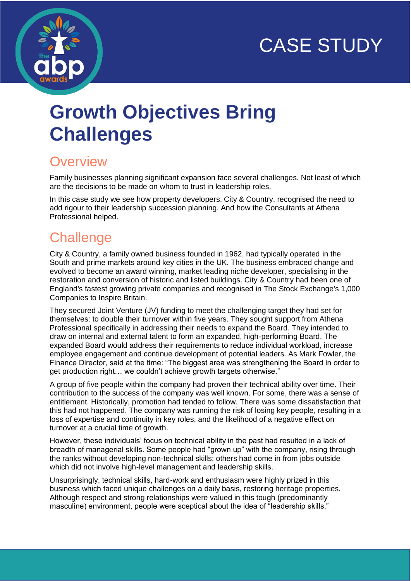# CASE STUDY



## **Growth Objectives Bring Challenges**

### **Overview**

Family businesses planning significant expansion face several challenges. Not least of which are the decisions to be made on whom to trust in leadership roles.

In this case study we see how property developers, City & Country, recognised the need to add rigour to their leadership succession planning. And how the Consultants at Athena Professional helped.

## **Challenge**

City & Country, a family owned business founded in 1962, had typically operated in the South and prime markets around key cities in the UK. The business embraced change and evolved to become an award winning, market leading niche developer, specialising in the restoration and conversion of historic and listed buildings. City & Country had been one of England's fastest growing private companies and recognised in The Stock Exchange's 1,000 Companies to Inspire Britain.

They secured Joint Venture (JV) funding to meet the challenging target they had set for themselves: to double their turnover within five years. They sought support from Athena Professional specifically in addressing their needs to expand the Board. They intended to draw on internal and external talent to form an expanded, high-performing Board. The expanded Board would address their requirements to reduce individual workload, increase employee engagement and continue development of potential leaders. As Mark Fowler, the Finance Director, said at the time: "The biggest area was strengthening the Board in order to get production right… we couldn't achieve growth targets otherwise."

A group of five people within the company had proven their technical ability over time. Their contribution to the success of the company was well known. For some, there was a sense of entitlement. Historically, promotion had tended to follow. There was some dissatisfaction that this had not happened. The company was running the risk of losing key people, resulting in a loss of expertise and continuity in key roles, and the likelihood of a negative effect on turnover at a crucial time of growth.

However, these individuals' focus on technical ability in the past had resulted in a lack of breadth of managerial skills. Some people had "grown up" with the company, rising through the ranks without developing non-technical skills; others had come in from jobs outside which did not involve high-level management and leadership skills.

Unsurprisingly, technical skills, hard-work and enthusiasm were highly prized in this business which faced unique challenges on a daily basis, restoring heritage properties. Although respect and strong relationships were valued in this tough (predominantly masculine) environment, people were sceptical about the idea of "leadership skills."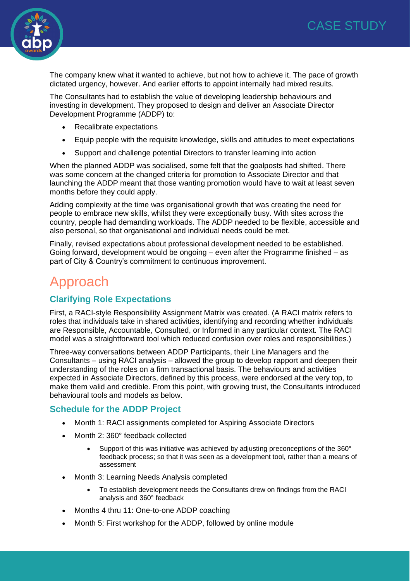

The company knew what it wanted to achieve, but not how to achieve it. The pace of growth dictated urgency, however. And earlier efforts to appoint internally had mixed results.

The Consultants had to establish the value of developing leadership behaviours and investing in development. They proposed to design and deliver an Associate Director Development Programme (ADDP) to:

- Recalibrate expectations
- Equip people with the requisite knowledge, skills and attitudes to meet expectations
- Support and challenge potential Directors to transfer learning into action

When the planned ADDP was socialised, some felt that the goalposts had shifted. There was some concern at the changed criteria for promotion to Associate Director and that launching the ADDP meant that those wanting promotion would have to wait at least seven months before they could apply.

Adding complexity at the time was organisational growth that was creating the need for people to embrace new skills, whilst they were exceptionally busy. With sites across the country, people had demanding workloads. The ADDP needed to be flexible, accessible and also personal, so that organisational and individual needs could be met.

Finally, revised expectations about professional development needed to be established. Going forward, development would be ongoing – even after the Programme finished – as part of City & Country's commitment to continuous improvement.

### Approach

#### **Clarifying Role Expectations**

First, a RACI-style Responsibility Assignment Matrix was created. (A RACI matrix refers to roles that individuals take in shared activities, identifying and recording whether individuals are Responsible, Accountable, Consulted, or Informed in any particular context. The RACI model was a straightforward tool which reduced confusion over roles and responsibilities.)

Three-way conversations between ADDP Participants, their Line Managers and the Consultants – using RACI analysis – allowed the group to develop rapport and deepen their understanding of the roles on a firm transactional basis. The behaviours and activities expected in Associate Directors, defined by this process, were endorsed at the very top, to make them valid and credible. From this point, with growing trust, the Consultants introduced behavioural tools and models as below.

#### **Schedule for the ADDP Project**

- Month 1: RACI assignments completed for Aspiring Associate Directors
- Month 2: 360° feedback collected
	- Support of this was initiative was achieved by adjusting preconceptions of the 360° feedback process; so that it was seen as a development tool, rather than a means of assessment
- Month 3: Learning Needs Analysis completed
	- To establish development needs the Consultants drew on findings from the RACI analysis and 360° feedback
- Months 4 thru 11: One-to-one ADDP coaching
- Month 5: First workshop for the ADDP, followed by online module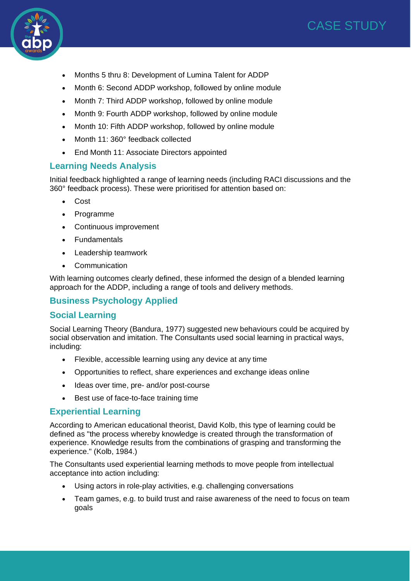



- Months 5 thru 8: Development of Lumina Talent for ADDP
- Month 6: Second ADDP workshop, followed by online module
- Month 7: Third ADDP workshop, followed by online module
- Month 9: Fourth ADDP workshop, followed by online module
- Month 10: Fifth ADDP workshop, followed by online module
- Month 11: 360° feedback collected
- End Month 11: Associate Directors appointed

#### **Learning Needs Analysis**

Initial feedback highlighted a range of learning needs (including RACI discussions and the 360° feedback process). These were prioritised for attention based on:

- Cost
- Programme
- Continuous improvement
- Fundamentals
- Leadership teamwork
- Communication

With learning outcomes clearly defined, these informed the design of a blended learning approach for the ADDP, including a range of tools and delivery methods.

#### **Business Psychology Applied**

#### **Social Learning**

Social Learning Theory (Bandura, 1977) suggested new behaviours could be acquired by social observation and imitation. The Consultants used social learning in practical ways, including:

- Flexible, accessible learning using any device at any time
- Opportunities to reflect, share experiences and exchange ideas online
- Ideas over time, pre- and/or post-course
- Best use of face-to-face training time

#### **Experiential Learning**

According to American educational theorist, David Kolb, this type of learning could be defined as "the process whereby knowledge is created through the transformation of experience. Knowledge results from the combinations of grasping and transforming the experience." (Kolb, 1984.)

The Consultants used experiential learning methods to move people from intellectual acceptance into action including:

- Using actors in role-play activities, e.g. challenging conversations
- Team games, e.g. to build trust and raise awareness of the need to focus on team goals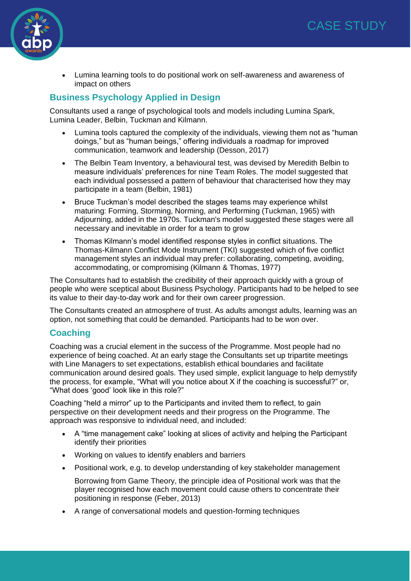

• Lumina learning tools to do positional work on self-awareness and awareness of impact on others

#### **Business Psychology Applied in Design**

Consultants used a range of psychological tools and models including Lumina Spark, Lumina Leader, Belbin, Tuckman and Kilmann.

- Lumina tools captured the complexity of the individuals, viewing them not as "human doings," but as "human beings," offering individuals a roadmap for improved communication, teamwork and leadership (Desson, 2017)
- The Belbin Team Inventory, a behavioural test, was devised by Meredith Belbin to measure individuals' preferences for nine Team Roles. The model suggested that each individual possessed a pattern of behaviour that characterised how they may participate in a team (Belbin, 1981)
- Bruce Tuckman's model described the stages teams may experience whilst maturing: Forming, Storming, Norming, and Performing (Tuckman, 1965) with Adjourning, added in the 1970s. Tuckman's model suggested these stages were all necessary and inevitable in order for a team to grow
- Thomas Kilmann's model identified response styles in conflict situations. The Thomas-Kilmann Conflict Mode Instrument (TKI) suggested which of five conflict management styles an individual may prefer: collaborating, competing, avoiding, accommodating, or compromising (Kilmann & Thomas, 1977)

The Consultants had to establish the credibility of their approach quickly with a group of people who were sceptical about Business Psychology. Participants had to be helped to see its value to their day-to-day work and for their own career progression.

The Consultants created an atmosphere of trust. As adults amongst adults, learning was an option, not something that could be demanded. Participants had to be won over.

#### **Coaching**

Coaching was a crucial element in the success of the Programme. Most people had no experience of being coached. At an early stage the Consultants set up tripartite meetings with Line Managers to set expectations, establish ethical boundaries and facilitate communication around desired goals. They used simple, explicit language to help demystify the process, for example, "What will you notice about X if the coaching is successful?" or, "What does 'good' look like in this role?"

Coaching "held a mirror" up to the Participants and invited them to reflect, to gain perspective on their development needs and their progress on the Programme. The approach was responsive to individual need, and included:

- A "time management cake" looking at slices of activity and helping the Participant identify their priorities
- Working on values to identify enablers and barriers
- Positional work, e.g. to develop understanding of key stakeholder management
	- Borrowing from Game Theory, the principle idea of Positional work was that the player recognised how each movement could cause others to concentrate their positioning in response (Feber, 2013)
- A range of conversational models and question-forming techniques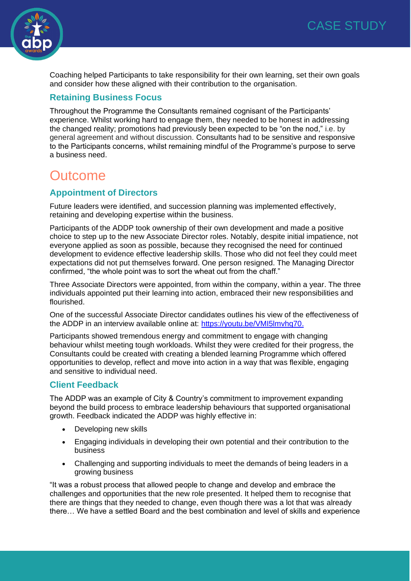

Coaching helped Participants to take responsibility for their own learning, set their own goals and consider how these aligned with their contribution to the organisation.

#### **Retaining Business Focus**

Throughout the Programme the Consultants remained cognisant of the Participants' experience. Whilst working hard to engage them, they needed to be honest in addressing the changed reality; promotions had previously been expected to be "on the nod," i.e. by general agreement and without discussion. Consultants had to be sensitive and responsive to the Participants concerns, whilst remaining mindful of the Programme's purpose to serve a business need.

### **Outcome**

#### **Appointment of Directors**

Future leaders were identified, and succession planning was implemented effectively, retaining and developing expertise within the business.

Participants of the ADDP took ownership of their own development and made a positive choice to step up to the new Associate Director roles. Notably, despite initial impatience, not everyone applied as soon as possible, because they recognised the need for continued development to evidence effective leadership skills. Those who did not feel they could meet expectations did not put themselves forward. One person resigned. The Managing Director confirmed, "the whole point was to sort the wheat out from the chaff."

Three Associate Directors were appointed, from within the company, within a year. The three individuals appointed put their learning into action, embraced their new responsibilities and flourished.

One of the successful Associate Director candidates outlines his view of the effectiveness of the ADDP in an interview available online at: https://voutu.be/VMI5lmvhq70.

Participants showed tremendous energy and commitment to engage with changing behaviour whilst meeting tough workloads. Whilst they were credited for their progress, the Consultants could be created with creating a blended learning Programme which offered opportunities to develop, reflect and move into action in a way that was flexible, engaging and sensitive to individual need.

#### **Client Feedback**

The ADDP was an example of City & Country's commitment to improvement expanding beyond the build process to embrace leadership behaviours that supported organisational growth. Feedback indicated the ADDP was highly effective in:

- Developing new skills
- Engaging individuals in developing their own potential and their contribution to the business
- Challenging and supporting individuals to meet the demands of being leaders in a growing business

"It was a robust process that allowed people to change and develop and embrace the challenges and opportunities that the new role presented. It helped them to recognise that there are things that they needed to change, even though there was a lot that was already there… We have a settled Board and the best combination and level of skills and experience